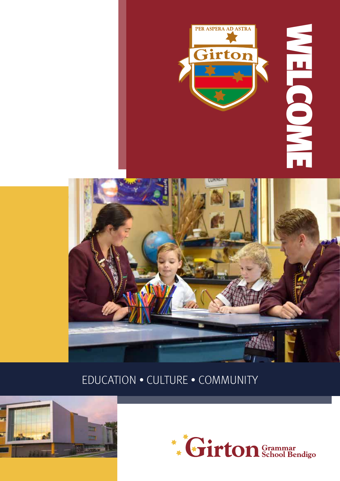



## EDUCATION • CULTURE • COMMUNITY



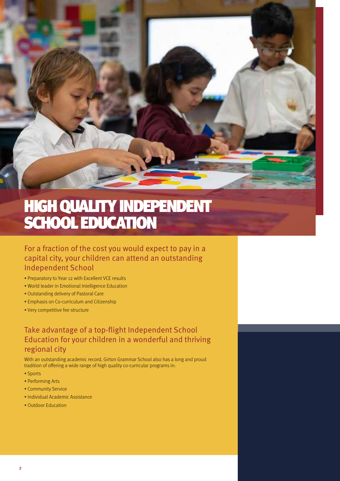

# HIGH QUALITY INDEPENDENT SCHOOL EDUCATION

### For a fraction of the cost you would expect to pay in a capital city, your children can attend an outstanding Independent School

- Preparatory to Year 12 with Excellent VCE results
- World leader in Emotional Intelligence Education
- Outstanding delivery of Pastoral Care
- Emphasis on Co-curriculum and Citizenship
- Very competitive fee structure

### Take advantage of a top-flight Independent School Education for your children in a wonderful and thriving regional city

With an outstanding academic record, Girton Grammar School also has a long and proud tradition of offering a wide range of high quality co-curricular programs in:

- Sports
- Performing Arts
- Community Service
- Individual Academic Assistance
- Outdoor Education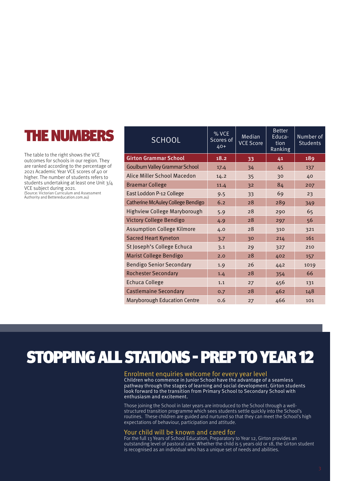# THE NUMBERS

The table to the right shows the VCE outcomes for schools in our region. They are ranked according to the percentage of 2021 Academic Year VCE scores of 40 or higher. The number of students refers to students undertaking at least one Unit 3/4 VCE subject during 2021. (Source: Victorian Curriculum and Assessment Authority and Bettereducation.com.au)

| <b>SCHOOL</b>                       | % VCE<br>Scores of<br>40+ | Median<br><b>VCE Score</b> | <b>Better</b><br>Educa-<br>tion<br>Ranking | Number of<br><b>Students</b> |
|-------------------------------------|---------------------------|----------------------------|--------------------------------------------|------------------------------|
| <b>Girton Grammar School</b>        | 18.2                      | 33                         | 41                                         | 189                          |
| Goulburn Valley Grammar School      | 17.4                      | 34                         | 45                                         | 137                          |
| Alice Miller School Macedon         | 14.2                      | 35                         | 30                                         | 40                           |
| <b>Braemar College</b>              | 11.4                      | 32                         | 84                                         | 207                          |
| East Loddon P-12 College            | 9.5                       | 33                         | 69                                         | 23                           |
| Catherine McAuley College Bendigo   | 6.2                       | 28                         | 289                                        | 349                          |
| <b>Highview College Maryborough</b> | 5.9                       | 28                         | 290                                        | 65                           |
| <b>Victory College Bendigo</b>      | 4.9                       | 28                         | 297                                        | 56                           |
| <b>Assumption College Kilmore</b>   | 4.0                       | 28                         | 310                                        | 321                          |
| <b>Sacred Heart Kyneton</b>         | 3.7                       | 30                         | 214                                        | 161                          |
| St Joseph's College Echuca          | 3.1                       | 29                         | 327                                        | 210                          |
| Marist College Bendigo              | 2.0                       | 28                         | 402                                        | 157                          |
| <b>Bendigo Senior Secondary</b>     | 1.9                       | 26                         | 442                                        | 1019                         |
| <b>Rochester Secondary</b>          | 1.4                       | 28                         | 354                                        | 66                           |
| <b>Echuca College</b>               | 1.1                       | 27                         | 456                                        | 131                          |
| <b>Castlemaine Secondary</b>        | 0.7                       | 28                         | 462                                        | 148                          |
| <b>Maryborough Education Centre</b> | 0.6                       | 27                         | 466                                        | 101                          |

## STOPPING ALL STATIONS - PREP TO YEAR 12

#### Enrolment enquiries welcome for every year level

Children who commence in Junior School have the advantage of a seamless pathway through the stages of learning and social development. Girton students look forward to the transition from Primary School to Secondary School with enthusiasm and excitement.

Those joining the School in later years are introduced to the School through a wellstructured transition programme which sees students settle quickly into the School's routines. These children are guided and nurtured so that they can meet the School's high expectations of behaviour, participation and attitude.

#### Your child will be known and cared for

For the full 13 Years of School Education, Preparatory to Year 12, Girton provides an outstanding level of pastoral care. Whether the child is 5 years old or 18, the Girton student is recognised as an individual who has a unique set of needs and abilities.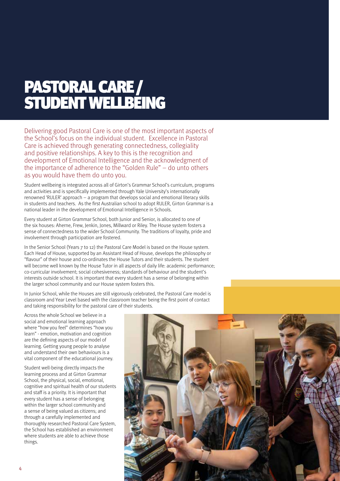# PASTORAL CARE / STUDENT WELLBEING

Delivering good Pastoral Care is one of the most important aspects of the School's focus on the individual student. Excellence in Pastoral Care is achieved through generating connectedness, collegiality and positive relationships. A key to this is the recognition and development of Emotional Intelligence and the acknowledgment of the importance of adherence to the "Golden Rule" – do unto others as you would have them do unto you.

Student wellbeing is integrated across all of Girton's Grammar School's curriculum, programs and activities and is specifically implemented through Yale University's internationally renowned 'RULER' approach – a program that develops social and emotional literacy skills in students and teachers. As the first Australian school to adopt RULER, Girton Grammar is a national leader in the development of Emotional Intelligence in Schools.

Every student at Girton Grammar School, both Junior and Senior, is allocated to one of the six houses: Aherne, Frew, Jenkin, Jones, Millward or Riley. The House system fosters a sense of connectedness to the wider School Community. The traditions of loyalty, pride and involvement through participation are fostered.

In the Senior School (Years 7 to 12) the Pastoral Care Model is based on the House system. Each Head of House, supported by an Assistant Head of House, develops the philosophy or "flavour" of their house and co-ordinates the House Tutors and their students. The student will become well known by the House Tutor in all aspects of daily life: academic performance; co-curricular involvement; social cohesiveness; standards of behaviour and the student's interests outside school. It is important that every student has a sense of belonging within the larger school community and our House system fosters this.

In Junior School, while the Houses are still vigorously celebrated, the Pastoral Care model is classroom and Year Level based with the classroom teacher being the first point of contact and taking responsibility for the pastoral care of their students.

Across the whole School we believe in a social and emotional learning approach where "how you feel" determines "how you learn" - emotion, motivation and cognition are the defining aspects of our model of learning. Getting young people to analyse and understand their own behaviours is a vital component of the educational journey.

Student well-being directly impacts the learning process and at Girton Grammar School, the physical, social, emotional, cognitive and spiritual health of our students and staff is a priority. It is important that every student has a sense of belonging within the larger school community and a sense of being valued as citizens; and through a carefully implemented and thoroughly researched Pastoral Care System, the School has established an environment where students are able to achieve those things.

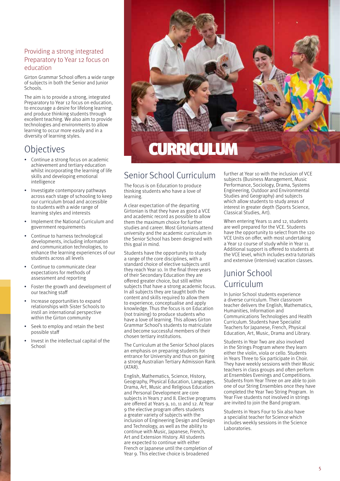#### Providing a strong integrated Preparatory to Year 12 focus on education

Girton Grammar School offers a wide range of subjects in both the Senior and Junior Schools.

The aim is to provide a strong, integrated Preparatory to Year 12 focus on education, to encourage a desire for lifelong learning and produce thinking students through excellent teaching. We also aim to provide technologies and environments to allow learning to occur more easily and in a diversity of learning styles.

### **Objectives**

- Continue a strong focus on academic achievement and tertiary education whilst incorporating the learning of life skills and developing emotional intelligence
- Investigate contemporary pathways across each stage of schooling to keep our curriculum broad and accessible to students with a wide range of learning styles and interests
- Implement the National Curriculum and government requirements
- Continue to harness technological developments, including information and communication technologies, to enhance the learning experiences of our students across all levels
- Continue to communicate clear expectations for methods of assessment and reporting
- Foster the growth and development of our teaching staff
- Increase opportunities to expand relationships with Sister Schools to instil an international perspective within the Girton community
- Seek to employ and retain the best possible staff
- Invest in the intellectual capital of the School



### Senior School Curriculum

The focus is on Education to produce thinking students who have a love of learning.

A clear expectation of the departing Girtonian is that they have as good a VCE and academic record as possible to allow them the maximum choice for further studies and career. Most Girtonians attend university and the academic curriculum in the Senior School has been designed with this goal in mind.

Students have the opportunity to study a range of the core disciplines, with a standard choice of elective subjects until they reach Year 10. In the final three years of their Secondary Education they are offered greater choice, but still within subjects that have a strong academic focus. In all subjects they are taught both the content and skills required to allow them to experience, conceptualise and apply knowledge. Thus the focus is on Education (not training) to produce students who have a love of learning. This allows Girton Grammar School's students to matriculate and become successful members of their chosen tertiary institutions.

The Curriculum at the Senior School places an emphasis on preparing students for entrance for University and thus on gaining a strong Australian Tertiary Admission Rank (ATAR).

English, Mathematics, Science, History, Geography, Physical Education, Languages, Drama, Art, Music and Religious Education and Personal Development are core subjects in Years 7 and 8. Elective programs are offered at Years 9, 10, 11 and 12. At Year 9 the elective program offers students a greater variety of subjects with the inclusion of Engineering Design and Design and Technology, as well as the ability to continue with Music, Japanese, French, Art and Extension History. All students are expected to continue with either French or Japanese until the completion of Year 9. This elective choice is broadened

further at Year 10 with the inclusion of VCE subjects (Business Management, Music Performance, Sociology, Drama, Systems Engineering, Outdoor and Environmental Studies and Geography) and subjects which allow students to study areas of interest in greater depth (Sports Science, Classical Studies, Art).

When entering Years 11 and 12, students are well prepared for the VCE. Students have the opportunity to select from the 120 VCE Units on offer, with most undertaking a Year 12 course of study while in Year 11. Additional support is offered to students at the VCE level, which includes extra tutorials and extensive (intensive) vacation classes.

### Junior School Curriculum

In Junior School students experience a diverse curriculum. Their classroom teacher delivers the English, Mathematics, Humanities, Information and Communications Technologies and Health Curriculum. Students have Specialist Teachers for Japanese, French, Physical Education, Art, Music, Drama and Library.

Students in Year Two are also involved in the Strings Program where they learn either the violin, viola or cello. Students in Years Three to Six participate in Choir. They have weekly sessions with their Music teachers in class groups and often perform at Ensembles Evenings and Competitions. Students from Year Three on are able to join one of our String Ensembles once they have completed the Year Two String Program. In Year Five students not involved in strings are invited to join the Band program.

Students in Years Four to Six also have a specialist teacher for Science which includes weekly sessions in the Science Laboratories.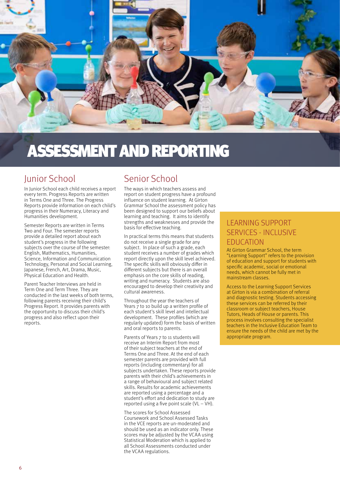

# ASSESSMENT AND REPORTING

### Junior School

In Junior School each child receives a report every term. Progress Reports are written in Terms One and Three. The Progress Reports provide information on each child's progress in their Numeracy, Literacy and Humanities development.

Semester Reports are written in Terms Two and Four. The semester reports provide a detailed report about each student's progress in the following subjects over the course of the semester: English, Mathematics, Humanities, Science, Information and Communication Technology, Personal and Social Learning, Japanese, French, Art, Drama, Music, Physical Education and Health.

Parent Teacher Interviews are held in Term One and Term Three. They are conducted in the last weeks of both terms, following parents receiving their child's Progress Report. It provides parents with the opportunity to discuss their child's progress and also reflect upon their reports.

## Senior School

The ways in which teachers assess and report on student progress have a profound influence on student learning. At Girton Grammar School the assessment policy has been designed to support our beliefs about learning and teaching. It aims to identify strengths and weaknesses and provide the basis for effective teaching.

In practical terms this means that students do not receive a single grade for any subject. In place of such a grade, each student receives a number of grades which report directly upon the skill level achieved. The specific skills will obviously differ in different subjects but there is an overall emphasis on the core skills of reading, writing and numeracy. Students are also encouraged to develop their creativity and cultural awareness.

Throughout the year the teachers of Years  $\frac{3}{7}$  to 10 build up a written profile of each student's skill level and intellectual development. These profiles (which are regularly updated) form the basis of written and oral reports to parents.

Parents of Years 7 to 11 students will receive an Interim Report from most of their subject teachers at the end of Terms One and Three. At the end of each semester parents are provided with full reports (including commentary) for all subjects undertaken. These reports provide parents with their child's achievements in a range of behavioural and subject related skills. Results for academic achievements are reported using a percentage and a student's effort and dedication to study are reported using a five point scale  $(VL - VH)$ .

The scores for School Assessed Coursework and School Assessed Tasks in the VCE reports are un-moderated and should be used as an indicator only. These scores may be adjusted by the VCAA using Statistical Moderation which is applied to all School Assessments conducted under the VCAA regulations.

### LEARNING SUPPORT SERVICES - INCLUSIVE EDUCATION

At Girton Grammar School, the term "Learning Support" refers to the provision of education and support for students with specific academic, social or emotional needs, which cannot be fully met in mainstream classes.

Access to the Learning Support Services at Girton is via a combination of referral and diagnostic testing. Students accessing these services can be referred by their classroom or subject teachers, House Tutors, Heads of House or parents. This process involves consulting the specialist teachers in the Inclusive Education Team to ensure the needs of the child are met by the appropriate program.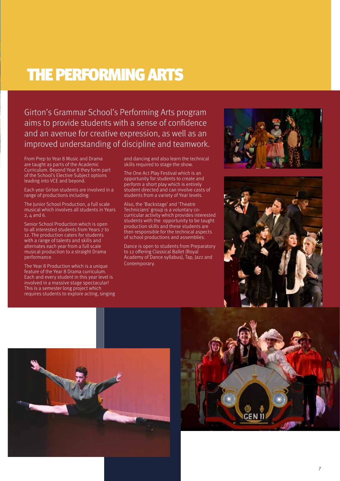## THE PERFORMING ARTS

Girton's Grammar School's Performing Arts program aims to provide students with a sense of confidence and an avenue for creative expression, as well as an improved understanding of discipline and teamwork.

From Prep to Year 8 Music and Drama are taught as parts of the Academic Curriculum. Beyond Year 8 they form part of the School's Elective Subject options leading into VCE and beyond.

Each year Girton students are involved in a range of productions including:

The Junior School Production, a full scale musical which involves all students in Years  $2, 4$  and 6.

Senior School Production which is open to all interested students from Years 7 to 12. The production caters for students with a range of talents and skills and alternates each year from a full scale musical production to a straight Drama performance.

The Year 8 Production which is a unique feature of the Year 8 Drama curriculum. Each and every student in this year level is involved in a massive stage spectacular! This is a semester long project which requires students to explore acting, singing and dancing and also learn the technical skills required to stage the show.

The One Act Play Festival which is an opportunity for students to create and perform a short play which is entirely student directed and can involve casts of students from a variety of Year levels.

Also, the 'Backstage' and 'Theatre Technicians' group is a voluntary cocurricular activity which provides interested students with the opportunity to be taught production skills and these students are then responsible for the technical aspects of school productions and assemblies.

Dance is open to students from Preparatory to 12 offering Classical Ballet (Royal Academy of Dance syllabus), Tap, Jazz and Contemporary.







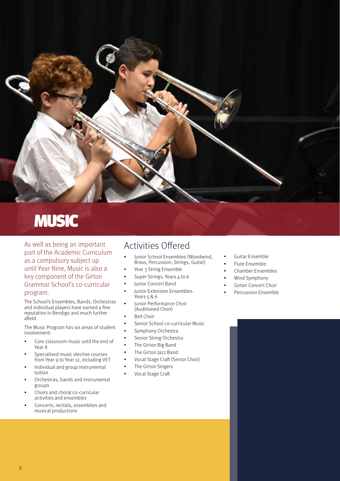

# MUSIC

As well as being an important part of the Academic Curriculum as a compulsory subject up until Year Nine, Music is also a key component of the Girton Grammar School's co-curricular program.

The School's Ensembles, Bands, Orchestras and individual players have earned a fine reputation in Bendigo and much further afield.

The Music Program has six areas of student involvement:

- Core classroom music until the end of Year 8
- Specialised music elective courses from Year 9 to Year 12, including VET
- Individual and group instrumental tuition
- Orchestras, bands and instrumental groups
- Choirs and choral co-curricular activities and ensembles
- Concerts, recitals, assemblies and musical productions

## Activities Offered

- Junior School Ensembles (Woodwind, Brass, Percussion, Strings, Guitar)
- Year 3 String Ensemble
- Super Strings, Years 4 to 6
- Junior Concert Band
- Junior Extension Ensembles-Years  $586$
- Junior Performance Choir (Auditioned Choir)
- Bell Choir
- Senior School co-curricular Music
- Symphony Orchestra
- Senior String Orchestra
- The Girton Big Band
- The Girton Jazz Band
- Vocal Stage Craft (Senior Choir)
- The Girton Singers
- Vocal Stage Craft
- Guitar Ensemble
- Flute Ensemble
- Chamber Ensembles
- Wind Symphony
- Girton Concert Choir
- Percussion Ensemble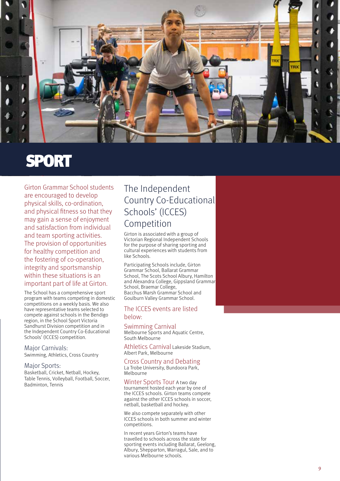

## SPORT

Girton Grammar School students are encouraged to develop physical skills, co-ordination, and physical fitness so that they may gain a sense of enjoyment and satisfaction from individual and team sporting activities. The provision of opportunities for healthy competition and the fostering of co-operation, integrity and sportsmanship within these situations is an important part of life at Girton.

The School has a comprehensive sport program with teams competing in domestic competitions on a weekly basis. We also have representative teams selected to compete against schools in the Bendigo region, in the School Sport Victoria Sandhurst Division competition and in the Independent Country Co-Educational Schools' (ICCES) competition.

#### Major Carnivals:

Swimming, Athletics, Cross Country

#### Major Sports:

Basketball, Cricket, Netball, Hockey, Table Tennis, Volleyball, Football, Soccer, Badminton, Tennis

### The Independent Country Co-Educational Schools' (ICCES) Competition

Girton is associated with a group of Victorian Regional Independent Schools for the purpose of sharing sporting and cultural experiences with students from like Schools.

Participating Schools include, Girton Grammar School, Ballarat Grammar School, The Scots School Albury, Hamilton and Alexandra College, Gippsland Grammar School, Braemar College, Bacchus Marsh Grammar School and Goulburn Valley Grammar School.

#### The ICCES events are listed below:

#### Swimming Carnival

Melbourne Sports and Aquatic Centre, South Melbourne

Athletics Carnival Lakeside Stadium, Albert Park, Melbourne

#### Cross Country and Debating

La Trobe University, Bundoora Park, Melbourne

Winter Sports Tour A two day tournament hosted each year by one of the ICCES schools. Girton teams compete against the other ICCES schools in soccer, netball, basketball and hockey.

We also compete separately with other ICCES schools in both summer and winter competitions.

In recent years Girton's teams have travelled to schools across the state for sporting events including Ballarat, Geelong, Albury, Shepparton, Warragul, Sale, and to various Melbourne schools.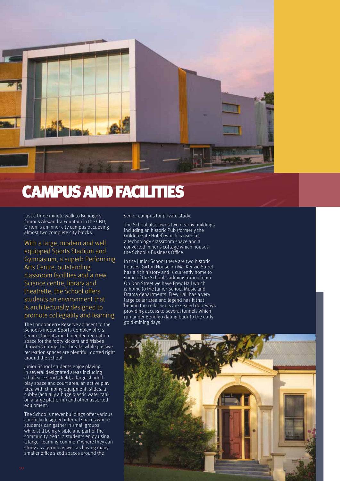

## CAMPUS AND FACILITIES

Just a three minute walk to Bendigo's famous Alexandra Fountain in the CBD, Girton is an inner city campus occupying almost two complete city blocks.

With a large, modern and well equipped Sports Stadium and Gymnasium, a superb Performing Arts Centre, outstanding classroom facilities and a new Science centre, library and theatrette, the School offers students an environment that is architecturally designed to promote collegiality and learning.

The Londonderry Reserve adjacent to the School's indoor Sports Complex offers senior students much needed recreation space for the footy kickers and frisbee throwers during their breaks while passive recreation spaces are plentiful, dotted right around the school.

Junior School students enjoy playing in several designated areas including a half size sports field, a large shaded play space and court area, an active play area with climbing equipment, slides, a cubby (actually a huge plastic water tank on a large platform!) and other assorted equipment.

The School's newer buildings offer various carefully designed internal spaces where students can gather in small groups while still being visible and part of the community. Year 12 students enjoy using a large "learning common" where they can study as a group as well as having many smaller office sized spaces around the

senior campus for private study.

The School also owns two nearby buildings including an historic Pub (formerly the Golden Gate Hotel) which is used as a technology classroom space and a converted miner's cottage which houses the School's Business Office.

In the Junior School there are two historic houses. Girton House on MacKenzie Street has a rich history and is currently home to some of the School's administration team. On Don Street we have Frew Hall which is home to the Junior School Music and Drama departments. Frew Hall has a very large cellar area and legend has it that behind the cellar walls are sealed doorways providing access to several tunnels which run under Bendigo dating back to the early gold-mining days.

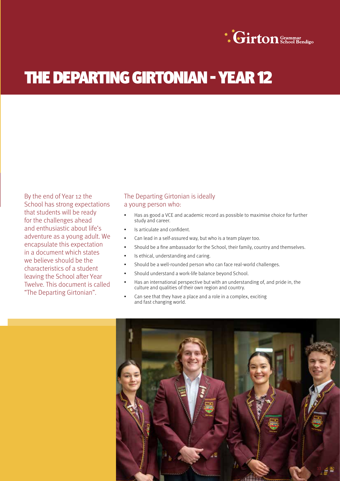

# THE DEPARTING GIRTONIAN - YEAR 12

By the end of Year 12 the School has strong expectations that students will be ready for the challenges ahead and enthusiastic about life's adventure as a young adult. We encapsulate this expectation in a document which states we believe should be the characteristics of a student leaving the School after Year Twelve. This document is called "The Departing Girtonian".

### The Departing Girtonian is ideally a young person who:

- Has as good a VCE and academic record as possible to maximise choice for further study and career.
- Is articulate and confident.
- Can lead in a self-assured way, but who is a team player too.
- Should be a fine ambassador for the School, their family, country and themselves.
- Is ethical, understanding and caring.
- Should be a well-rounded person who can face real-world challenges.
- Should understand a work-life balance beyond School.
- Has an international perspective but with an understanding of, and pride in, the culture and qualities of their own region and country.
- Can see that they have a place and a role in a complex, exciting and fast changing world.